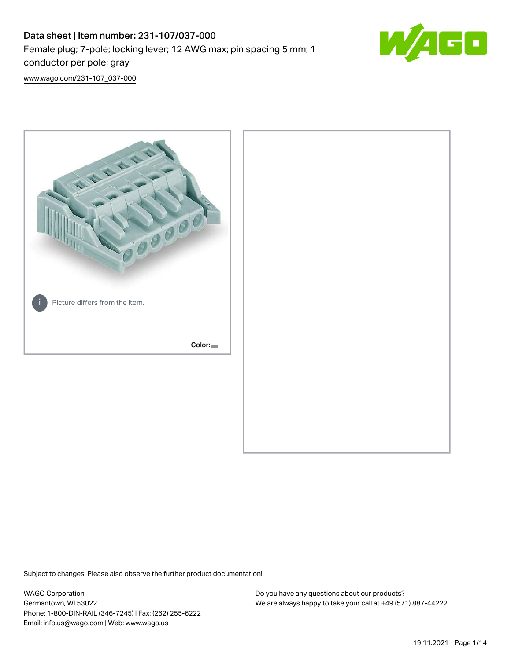# Data sheet | Item number: 231-107/037-000 Female plug; 7-pole; locking lever; 12 AWG max; pin spacing 5 mm; 1 conductor per pole; gray



[www.wago.com/231-107\\_037-000](http://www.wago.com/231-107_037-000)



Subject to changes. Please also observe the further product documentation!

WAGO Corporation Germantown, WI 53022 Phone: 1-800-DIN-RAIL (346-7245) | Fax: (262) 255-6222 Email: info.us@wago.com | Web: www.wago.us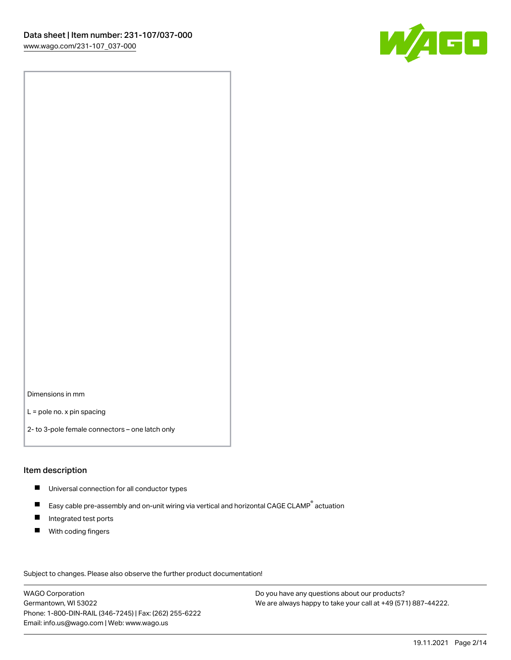

Dimensions in mm

L = pole no. x pin spacing

2- to 3-pole female connectors – one latch only

#### Item description

- **Universal connection for all conductor types**
- Easy cable pre-assembly and on-unit wiring via vertical and horizontal CAGE CLAMP<sup>®</sup> actuation  $\blacksquare$
- $\blacksquare$ Integrated test ports
- $\blacksquare$ With coding fingers

Subject to changes. Please also observe the further product documentation! Data

WAGO Corporation Germantown, WI 53022 Phone: 1-800-DIN-RAIL (346-7245) | Fax: (262) 255-6222 Email: info.us@wago.com | Web: www.wago.us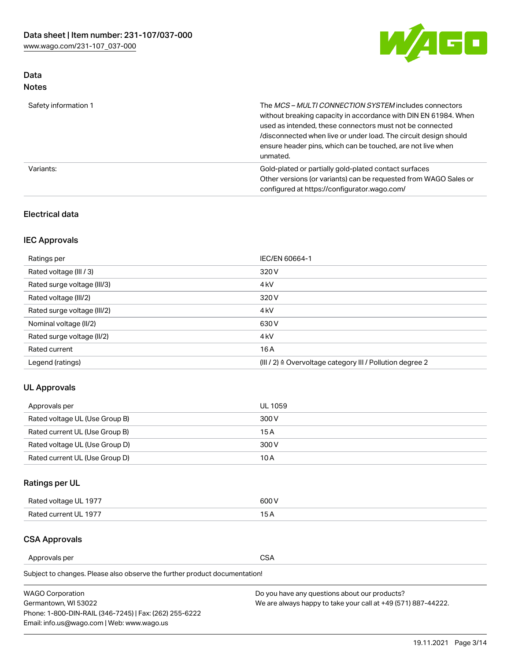

# Data Notes

| Safety information 1 | The MCS-MULTI CONNECTION SYSTEM includes connectors<br>without breaking capacity in accordance with DIN EN 61984. When<br>used as intended, these connectors must not be connected<br>/disconnected when live or under load. The circuit design should<br>ensure header pins, which can be touched, are not live when<br>unmated. |
|----------------------|-----------------------------------------------------------------------------------------------------------------------------------------------------------------------------------------------------------------------------------------------------------------------------------------------------------------------------------|
| Variants:            | Gold-plated or partially gold-plated contact surfaces<br>Other versions (or variants) can be requested from WAGO Sales or<br>configured at https://configurator.wago.com/                                                                                                                                                         |

### Electrical data

# IEC Approvals

| Ratings per                 | IEC/EN 60664-1                                                        |
|-----------------------------|-----------------------------------------------------------------------|
| Rated voltage (III / 3)     | 320 V                                                                 |
| Rated surge voltage (III/3) | 4 <sub>k</sub> V                                                      |
| Rated voltage (III/2)       | 320 V                                                                 |
| Rated surge voltage (III/2) | 4 <sub>k</sub> V                                                      |
| Nominal voltage (II/2)      | 630 V                                                                 |
| Rated surge voltage (II/2)  | 4 <sub>k</sub> V                                                      |
| Rated current               | 16 A                                                                  |
| Legend (ratings)            | $(III / 2)$ $\triangle$ Overvoltage category III / Pollution degree 2 |

# UL Approvals

| Approvals per                  | UL 1059 |
|--------------------------------|---------|
| Rated voltage UL (Use Group B) | 300 V   |
| Rated current UL (Use Group B) | 15 A    |
| Rated voltage UL (Use Group D) | 300 V   |
| Rated current UL (Use Group D) | 10 A    |

# Ratings per UL

| Rated voltage UL 1977 | 300 V |
|-----------------------|-------|
| Rated current UL 1977 |       |

### CSA Approvals

Approvals per CSA

Subject to changes. Please also observe the further product documentation!

| <b>WAGO Corporation</b>                                | Do you have any questions about our products?                 |
|--------------------------------------------------------|---------------------------------------------------------------|
| Germantown, WI 53022                                   | We are always happy to take your call at +49 (571) 887-44222. |
| Phone: 1-800-DIN-RAIL (346-7245)   Fax: (262) 255-6222 |                                                               |
| Email: info.us@wago.com   Web: www.wago.us             |                                                               |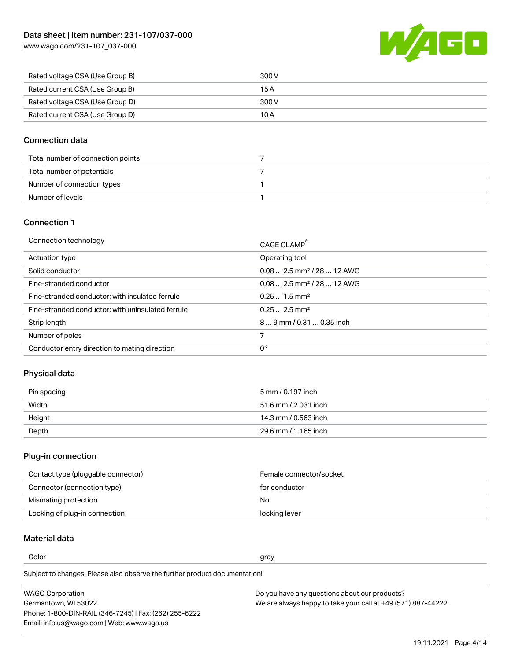

| Rated voltage CSA (Use Group B) | 300 V |
|---------------------------------|-------|
| Rated current CSA (Use Group B) | 15 A  |
| Rated voltage CSA (Use Group D) | 300 V |
| Rated current CSA (Use Group D) | 10 A  |

## Connection data

| Total number of connection points |  |
|-----------------------------------|--|
| Total number of potentials        |  |
| Number of connection types        |  |
| Number of levels                  |  |

### Connection 1

| Connection technology                             | CAGE CLAMP <sup>®</sup>                 |
|---------------------------------------------------|-----------------------------------------|
| Actuation type                                    | Operating tool                          |
| Solid conductor                                   | $0.082.5$ mm <sup>2</sup> / 28  12 AWG  |
| Fine-stranded conductor                           | $0.08$ 2.5 mm <sup>2</sup> / 28  12 AWG |
| Fine-stranded conductor; with insulated ferrule   | $0.251.5$ mm <sup>2</sup>               |
| Fine-stranded conductor; with uninsulated ferrule | $0.252.5$ mm <sup>2</sup>               |
| Strip length                                      | 89 mm / 0.31  0.35 inch                 |
| Number of poles                                   |                                         |
| Conductor entry direction to mating direction     | 0°                                      |

# Physical data

| Pin spacing | 5 mm / 0.197 inch    |
|-------------|----------------------|
| Width       | 51.6 mm / 2.031 inch |
| Height      | 14.3 mm / 0.563 inch |
| Depth       | 29.6 mm / 1.165 inch |

### Plug-in connection

| Contact type (pluggable connector) | Female connector/socket |
|------------------------------------|-------------------------|
| Connector (connection type)        | for conductor           |
| Mismating protection               | No.                     |
| Locking of plug-in connection      | locking lever           |

# Material data

Color and the color of the color of the color of the color of the color of the color of the color of the color

Subject to changes. Please also observe the further product documentation! Material group I

| <b>WAGO Corporation</b>                                | Do you have any questions about our products?                 |
|--------------------------------------------------------|---------------------------------------------------------------|
| Germantown, WI 53022                                   | We are always happy to take your call at +49 (571) 887-44222. |
| Phone: 1-800-DIN-RAIL (346-7245)   Fax: (262) 255-6222 |                                                               |
| Email: info.us@wago.com   Web: www.wago.us             |                                                               |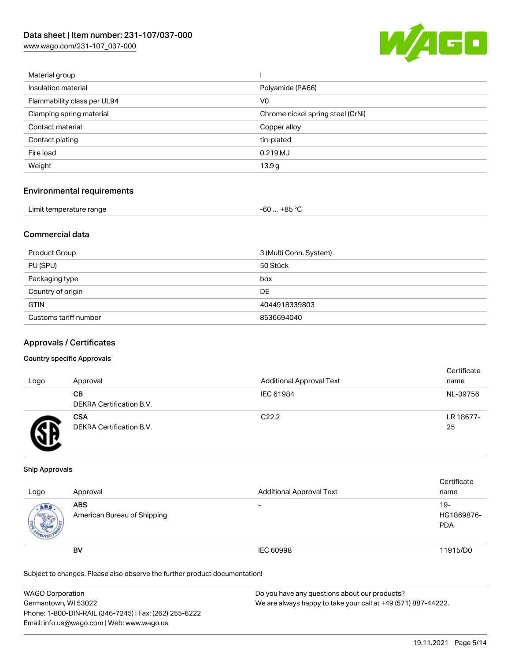

| Material group              |                                   |
|-----------------------------|-----------------------------------|
| Insulation material         | Polyamide (PA66)                  |
| Flammability class per UL94 | V0                                |
| Clamping spring material    | Chrome nickel spring steel (CrNi) |
| Contact material            | Copper alloy                      |
| Contact plating             | tin-plated                        |
| Fire load                   | 0.219MJ                           |
| Weight                      | 13.9 <sub>g</sub>                 |
|                             |                                   |

#### Environmental requirements

| Limit temperature range | $-60+85 °C$ |  |
|-------------------------|-------------|--|
|-------------------------|-------------|--|

## Commercial data

| Product Group         | 3 (Multi Conn. System) |
|-----------------------|------------------------|
| PU (SPU)              | 50 Stück               |
| Packaging type        | box                    |
| Country of origin     | DE                     |
| <b>GTIN</b>           | 4044918339803          |
| Customs tariff number | 8536694040             |

#### Approvals / Certificates

#### Country specific Approvals

| Logo | Approval                               | <b>Additional Approval Text</b> | Certificate<br>name |
|------|----------------------------------------|---------------------------------|---------------------|
|      | CВ<br>DEKRA Certification B.V.         | IEC 61984                       | NL-39756            |
|      | <b>CSA</b><br>DEKRA Certification B.V. | C <sub>22.2</sub>               | LR 18677-<br>25     |

#### Ship Approvals

| Logo | Approval                                  | <b>Additional Approval Text</b> | Certificate<br>name                |
|------|-------------------------------------------|---------------------------------|------------------------------------|
| ABS  | <b>ABS</b><br>American Bureau of Shipping | -                               | $19 -$<br>HG1869876-<br><b>PDA</b> |
|      | <b>BV</b>                                 | IEC 60998                       | 11915/D0                           |

Subject to changes. Please also observe the further product documentation!

| <b>WAGO Corporation</b>                                | Do you have any questions about our products?                 |
|--------------------------------------------------------|---------------------------------------------------------------|
| Germantown, WI 53022                                   | We are always happy to take your call at +49 (571) 887-44222. |
| Phone: 1-800-DIN-RAIL (346-7245)   Fax: (262) 255-6222 |                                                               |
| Email: info.us@wago.com   Web: www.wago.us             |                                                               |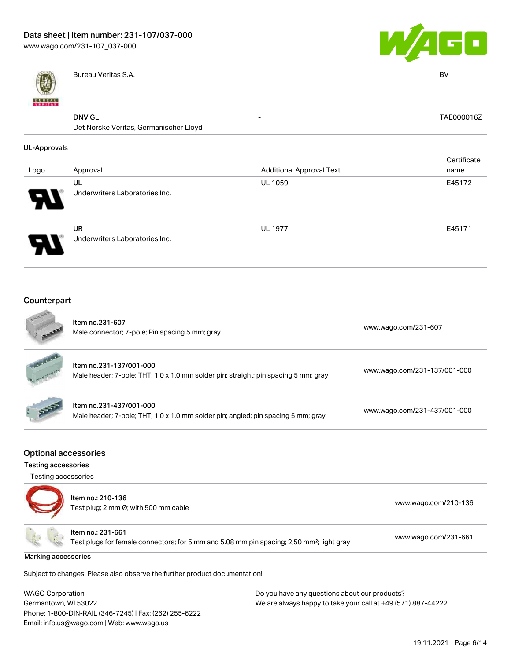

Bureau Veritas S.A. BV



| <b>BUREAU</b>       |                                        |                                 |             |
|---------------------|----------------------------------------|---------------------------------|-------------|
|                     | <b>DNV GL</b>                          | $\overline{\phantom{a}}$        | TAE000016Z  |
|                     | Det Norske Veritas, Germanischer Lloyd |                                 |             |
| <b>UL-Approvals</b> |                                        |                                 |             |
|                     |                                        |                                 | Certificate |
| Logo                | Approval                               | <b>Additional Approval Text</b> | name        |
|                     | UL                                     | <b>UL 1059</b>                  | E45172      |
|                     | Underwriters Laboratories Inc.         |                                 |             |
|                     | UR                                     | <b>UL 1977</b>                  | E45171      |
|                     | Underwriters Laboratories Inc.         |                                 |             |

# Counterpart

Email: info.us@wago.com | Web: www.wago.us

|                                                                                                                                                                                                                             | Item no.231-607<br>Male connector; 7-pole; Pin spacing 5 mm; gray                                                          | www.wago.com/231-607         |
|-----------------------------------------------------------------------------------------------------------------------------------------------------------------------------------------------------------------------------|----------------------------------------------------------------------------------------------------------------------------|------------------------------|
|                                                                                                                                                                                                                             | Item no.231-137/001-000<br>Male header; 7-pole; THT; 1.0 x 1.0 mm solder pin; straight; pin spacing 5 mm; gray             | www.wago.com/231-137/001-000 |
|                                                                                                                                                                                                                             | Item no.231-437/001-000<br>Male header; 7-pole; THT; 1.0 x 1.0 mm solder pin; angled; pin spacing 5 mm; gray               | www.wago.com/231-437/001-000 |
| <b>Optional accessories</b><br><b>Testing accessories</b>                                                                                                                                                                   |                                                                                                                            |                              |
| Testing accessories                                                                                                                                                                                                         |                                                                                                                            |                              |
|                                                                                                                                                                                                                             | Item no.: 210-136<br>Test plug; 2 mm Ø; with 500 mm cable                                                                  | www.wago.com/210-136         |
|                                                                                                                                                                                                                             | Item no.: 231-661<br>Test plugs for female connectors; for 5 mm and 5.08 mm pin spacing; 2,50 mm <sup>2</sup> ; light gray | www.wago.com/231-661         |
| Marking accessories                                                                                                                                                                                                         |                                                                                                                            |                              |
|                                                                                                                                                                                                                             | Subject to changes. Please also observe the further product documentation!                                                 |                              |
| <b>WAGO Corporation</b><br>Do you have any questions about our products?<br>Germantown, WI 53022<br>We are always happy to take your call at +49 (571) 887-44222.<br>Phone: 1-800-DIN-RAIL (346-7245)   Fax: (262) 255-6222 |                                                                                                                            |                              |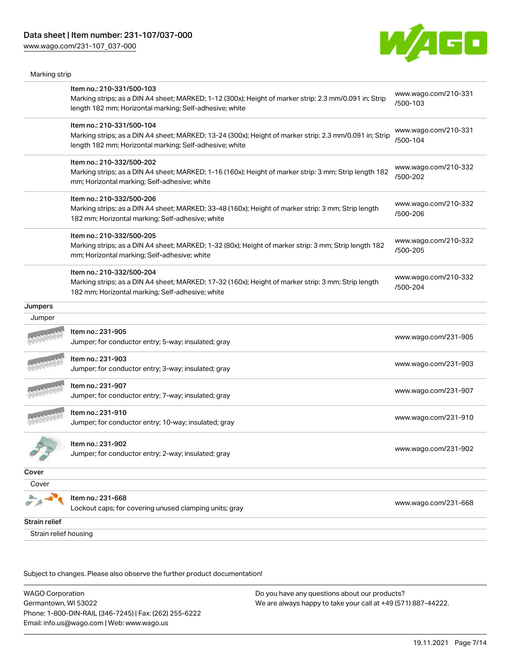Marking strip



|                       | Item no.: 210-331/500-103<br>Marking strips; as a DIN A4 sheet; MARKED; 1-12 (300x); Height of marker strip: 2.3 mm/0.091 in; Strip<br>length 182 mm; Horizontal marking; Self-adhesive; white  | www.wago.com/210-331<br>/500-103 |
|-----------------------|-------------------------------------------------------------------------------------------------------------------------------------------------------------------------------------------------|----------------------------------|
|                       | Item no.: 210-331/500-104<br>Marking strips; as a DIN A4 sheet; MARKED; 13-24 (300x); Height of marker strip: 2.3 mm/0.091 in; Strip<br>length 182 mm; Horizontal marking; Self-adhesive; white | www.wago.com/210-331<br>/500-104 |
|                       | Item no.: 210-332/500-202<br>Marking strips; as a DIN A4 sheet; MARKED; 1-16 (160x); Height of marker strip: 3 mm; Strip length 182<br>mm; Horizontal marking; Self-adhesive; white             | www.wago.com/210-332<br>/500-202 |
|                       | Item no.: 210-332/500-206<br>Marking strips; as a DIN A4 sheet; MARKED; 33-48 (160x); Height of marker strip: 3 mm; Strip length<br>182 mm; Horizontal marking; Self-adhesive; white            | www.wago.com/210-332<br>/500-206 |
|                       | Item no.: 210-332/500-205<br>Marking strips; as a DIN A4 sheet; MARKED; 1-32 (80x); Height of marker strip: 3 mm; Strip length 182<br>mm; Horizontal marking; Self-adhesive; white              | www.wago.com/210-332<br>/500-205 |
|                       | Item no.: 210-332/500-204<br>Marking strips; as a DIN A4 sheet; MARKED; 17-32 (160x); Height of marker strip: 3 mm; Strip length<br>182 mm; Horizontal marking; Self-adhesive; white            | www.wago.com/210-332<br>/500-204 |
| Jumpers               |                                                                                                                                                                                                 |                                  |
| Jumper                |                                                                                                                                                                                                 |                                  |
|                       | Item no.: 231-905<br>Jumper; for conductor entry; 5-way; insulated; gray                                                                                                                        | www.wago.com/231-905             |
|                       | Item no.: 231-903<br>Jumper; for conductor entry; 3-way; insulated; gray                                                                                                                        | www.wago.com/231-903             |
|                       | Item no.: 231-907<br>Jumper; for conductor entry; 7-way; insulated; gray                                                                                                                        | www.wago.com/231-907             |
|                       | Item no.: 231-910<br>Jumper; for conductor entry; 10-way; insulated; gray                                                                                                                       | www.wago.com/231-910             |
|                       | Item no.: 231-902<br>Jumper; for conductor entry; 2-way; insulated; gray                                                                                                                        | www.wago.com/231-902             |
| Cover                 |                                                                                                                                                                                                 |                                  |
| Cover                 |                                                                                                                                                                                                 |                                  |
|                       | Item no.: 231-668<br>Lockout caps; for covering unused clamping units; gray                                                                                                                     | www.wago.com/231-668             |
| Strain relief         |                                                                                                                                                                                                 |                                  |
| Strain relief housing |                                                                                                                                                                                                 |                                  |

Subject to changes. Please also observe the further product documentation!

WAGO Corporation Germantown, WI 53022 Phone: 1-800-DIN-RAIL (346-7245) | Fax: (262) 255-6222 Email: info.us@wago.com | Web: www.wago.us Do you have any questions about our products? We are always happy to take your call at +49 (571) 887-44222.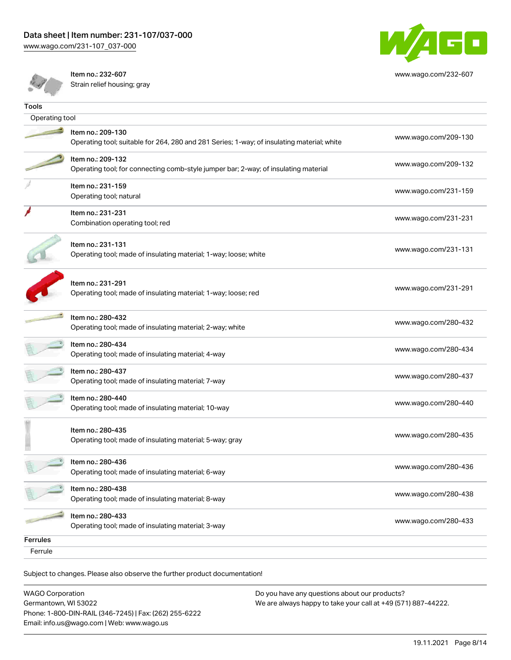

[www.wago.com/232-607](http://www.wago.com/232-607)

Item no.: 232-607 Strain relief housing; gray

| Tools          |                                                                                                                 |                      |
|----------------|-----------------------------------------------------------------------------------------------------------------|----------------------|
| Operating tool |                                                                                                                 |                      |
|                | Item no.: 209-130<br>Operating tool; suitable for 264, 280 and 281 Series; 1-way; of insulating material; white | www.wago.com/209-130 |
|                | Item no.: 209-132<br>Operating tool; for connecting comb-style jumper bar; 2-way; of insulating material        | www.wago.com/209-132 |
|                | Item no.: 231-159<br>Operating tool; natural                                                                    | www.wago.com/231-159 |
|                | Item no.: 231-231<br>Combination operating tool; red                                                            | www.wago.com/231-231 |
|                | Item no.: 231-131<br>Operating tool; made of insulating material; 1-way; loose; white                           | www.wago.com/231-131 |
|                | Item no.: 231-291<br>Operating tool; made of insulating material; 1-way; loose; red                             | www.wago.com/231-291 |
|                | Item no.: 280-432<br>Operating tool; made of insulating material; 2-way; white                                  | www.wago.com/280-432 |
|                | Item no.: 280-434<br>Operating tool; made of insulating material; 4-way                                         | www.wago.com/280-434 |
|                | Item no.: 280-437<br>Operating tool; made of insulating material; 7-way                                         | www.wago.com/280-437 |
|                | Item no.: 280-440<br>Operating tool; made of insulating material; 10-way                                        | www.wago.com/280-440 |
|                | Item no.: 280-435<br>Operating tool; made of insulating material; 5-way; gray                                   | www.wago.com/280-435 |
|                | Item no.: 280-436<br>Operating tool; made of insulating material; 6-way                                         | www.wago.com/280-436 |
|                | Item no.: 280-438<br>Operating tool; made of insulating material; 8-way                                         | www.wago.com/280-438 |
|                | Item no.: 280-433<br>Operating tool; made of insulating material; 3-way                                         | www.wago.com/280-433 |
| Ferrules       |                                                                                                                 |                      |
| Ferrule        |                                                                                                                 |                      |
|                |                                                                                                                 |                      |

Subject to changes. Please also observe the further product documentation!

| <b>WAGO Corporation</b>                                | Do you have any questions about our products?                 |
|--------------------------------------------------------|---------------------------------------------------------------|
| Germantown, WI 53022                                   | We are always happy to take your call at +49 (571) 887-44222. |
| Phone: 1-800-DIN-RAIL (346-7245)   Fax: (262) 255-6222 |                                                               |
| Email: info.us@wago.com   Web: www.wago.us             |                                                               |
|                                                        |                                                               |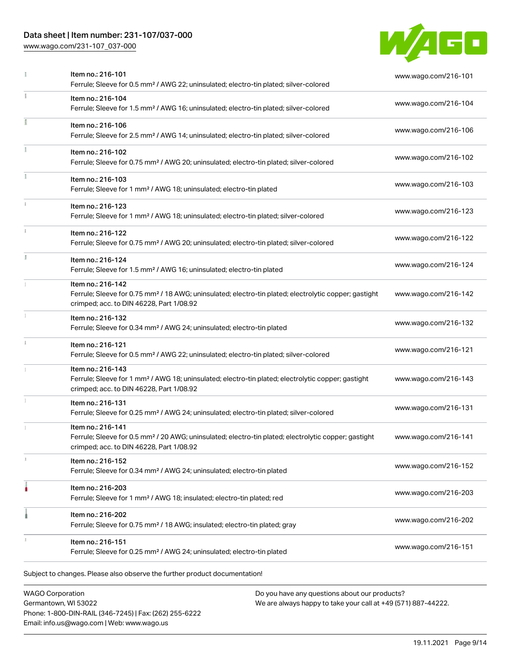# Data sheet | Item number: 231-107/037-000

[www.wago.com/231-107\\_037-000](http://www.wago.com/231-107_037-000)



|               | Item no.: 216-101<br>Ferrule; Sleeve for 0.5 mm <sup>2</sup> / AWG 22; uninsulated; electro-tin plated; silver-colored                                                             | www.wago.com/216-101 |
|---------------|------------------------------------------------------------------------------------------------------------------------------------------------------------------------------------|----------------------|
|               | Item no.: 216-104<br>Ferrule; Sleeve for 1.5 mm <sup>2</sup> / AWG 16; uninsulated; electro-tin plated; silver-colored                                                             | www.wago.com/216-104 |
|               | Item no.: 216-106<br>Ferrule; Sleeve for 2.5 mm <sup>2</sup> / AWG 14; uninsulated; electro-tin plated; silver-colored                                                             | www.wago.com/216-106 |
|               | Item no.: 216-102<br>Ferrule; Sleeve for 0.75 mm <sup>2</sup> / AWG 20; uninsulated; electro-tin plated; silver-colored                                                            | www.wago.com/216-102 |
|               | Item no.: 216-103<br>Ferrule; Sleeve for 1 mm <sup>2</sup> / AWG 18; uninsulated; electro-tin plated                                                                               | www.wago.com/216-103 |
|               | Item no.: 216-123<br>Ferrule; Sleeve for 1 mm <sup>2</sup> / AWG 18; uninsulated; electro-tin plated; silver-colored                                                               | www.wago.com/216-123 |
| $\frac{1}{3}$ | Item no.: 216-122<br>Ferrule; Sleeve for 0.75 mm <sup>2</sup> / AWG 20; uninsulated; electro-tin plated; silver-colored                                                            | www.wago.com/216-122 |
|               | Item no.: 216-124<br>Ferrule; Sleeve for 1.5 mm <sup>2</sup> / AWG 16; uninsulated; electro-tin plated                                                                             | www.wago.com/216-124 |
|               | Item no.: 216-142<br>Ferrule; Sleeve for 0.75 mm <sup>2</sup> / 18 AWG; uninsulated; electro-tin plated; electrolytic copper; gastight<br>crimped; acc. to DIN 46228, Part 1/08.92 | www.wago.com/216-142 |
|               | Item no.: 216-132<br>Ferrule; Sleeve for 0.34 mm <sup>2</sup> / AWG 24; uninsulated; electro-tin plated                                                                            | www.wago.com/216-132 |
|               | Item no.: 216-121<br>Ferrule; Sleeve for 0.5 mm <sup>2</sup> / AWG 22; uninsulated; electro-tin plated; silver-colored                                                             | www.wago.com/216-121 |
|               | Item no.: 216-143<br>Ferrule; Sleeve for 1 mm <sup>2</sup> / AWG 18; uninsulated; electro-tin plated; electrolytic copper; gastight<br>crimped; acc. to DIN 46228, Part 1/08.92    | www.wago.com/216-143 |
|               | Item no.: 216-131<br>Ferrule; Sleeve for 0.25 mm <sup>2</sup> / AWG 24; uninsulated; electro-tin plated; silver-colored                                                            | www.wago.com/216-131 |
|               | Item no.: 216-141<br>Ferrule; Sleeve for 0.5 mm <sup>2</sup> / 20 AWG; uninsulated; electro-tin plated; electrolytic copper; gastight<br>crimped; acc. to DIN 46228, Part 1/08.92  | www.wago.com/216-141 |
|               | Item no.: 216-152<br>Ferrule; Sleeve for 0.34 mm <sup>2</sup> / AWG 24; uninsulated; electro-tin plated                                                                            | www.wago.com/216-152 |
|               | Item no.: 216-203<br>Ferrule; Sleeve for 1 mm <sup>2</sup> / AWG 18; insulated; electro-tin plated; red                                                                            | www.wago.com/216-203 |
|               | Item no.: 216-202<br>Ferrule; Sleeve for 0.75 mm <sup>2</sup> / 18 AWG; insulated; electro-tin plated; gray                                                                        | www.wago.com/216-202 |
|               | Item no.: 216-151<br>Ferrule; Sleeve for 0.25 mm <sup>2</sup> / AWG 24; uninsulated; electro-tin plated                                                                            | www.wago.com/216-151 |

WAGO Corporation Germantown, WI 53022 Phone: 1-800-DIN-RAIL (346-7245) | Fax: (262) 255-6222 Email: info.us@wago.com | Web: www.wago.us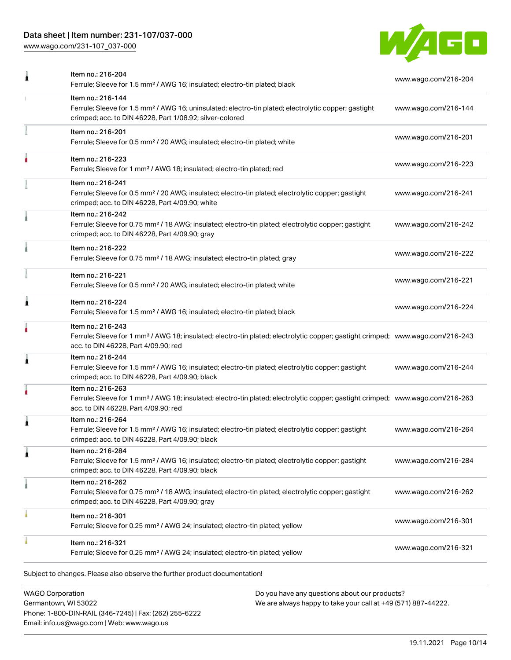# Data sheet | Item number: 231-107/037-000

[www.wago.com/231-107\\_037-000](http://www.wago.com/231-107_037-000)



| Item no.: 216-204<br>Ferrule; Sleeve for 1.5 mm <sup>2</sup> / AWG 16; insulated; electro-tin plated; black                                                                                             | www.wago.com/216-204 |
|---------------------------------------------------------------------------------------------------------------------------------------------------------------------------------------------------------|----------------------|
| Item no.: 216-144<br>Ferrule; Sleeve for 1.5 mm <sup>2</sup> / AWG 16; uninsulated; electro-tin plated; electrolytic copper; gastight<br>crimped; acc. to DIN 46228, Part 1/08.92; silver-colored       | www.wago.com/216-144 |
| Item no.: 216-201<br>Ferrule; Sleeve for 0.5 mm <sup>2</sup> / 20 AWG; insulated; electro-tin plated; white                                                                                             | www.wago.com/216-201 |
| Item no.: 216-223<br>Ferrule; Sleeve for 1 mm <sup>2</sup> / AWG 18; insulated; electro-tin plated; red                                                                                                 | www.wago.com/216-223 |
| Item no.: 216-241<br>Ferrule; Sleeve for 0.5 mm <sup>2</sup> / 20 AWG; insulated; electro-tin plated; electrolytic copper; gastight<br>crimped; acc. to DIN 46228, Part 4/09.90; white                  | www.wago.com/216-241 |
| Item no.: 216-242<br>Ferrule; Sleeve for 0.75 mm <sup>2</sup> / 18 AWG; insulated; electro-tin plated; electrolytic copper; gastight<br>crimped; acc. to DIN 46228, Part 4/09.90; gray                  | www.wago.com/216-242 |
| Item no.: 216-222<br>Ferrule; Sleeve for 0.75 mm <sup>2</sup> / 18 AWG; insulated; electro-tin plated; gray                                                                                             | www.wago.com/216-222 |
| Item no.: 216-221<br>Ferrule; Sleeve for 0.5 mm <sup>2</sup> / 20 AWG; insulated; electro-tin plated; white                                                                                             | www.wago.com/216-221 |
| Item no.: 216-224<br>Ferrule; Sleeve for 1.5 mm <sup>2</sup> / AWG 16; insulated; electro-tin plated; black                                                                                             | www.wago.com/216-224 |
| Item no.: 216-243<br>Ferrule; Sleeve for 1 mm <sup>2</sup> / AWG 18; insulated; electro-tin plated; electrolytic copper; gastight crimped; www.wago.com/216-243<br>acc. to DIN 46228, Part 4/09.90; red |                      |
| Item no.: 216-244<br>Ferrule; Sleeve for 1.5 mm <sup>2</sup> / AWG 16; insulated; electro-tin plated; electrolytic copper; gastight<br>crimped; acc. to DIN 46228, Part 4/09.90; black                  | www.wago.com/216-244 |
| Item no.: 216-263<br>Ferrule; Sleeve for 1 mm <sup>2</sup> / AWG 18; insulated; electro-tin plated; electrolytic copper; gastight crimped; www.wago.com/216-263<br>acc. to DIN 46228, Part 4/09.90; red |                      |
| Item no.: 216-264<br>Ferrule; Sleeve for 1.5 mm <sup>2</sup> / AWG 16; insulated; electro-tin plated; electrolytic copper; gastight<br>crimped; acc. to DIN 46228, Part 4/09.90; black                  | www.wago.com/216-264 |
| Item no.: 216-284<br>Ferrule; Sleeve for 1.5 mm <sup>2</sup> / AWG 16; insulated; electro-tin plated; electrolytic copper; gastight<br>crimped; acc. to DIN 46228, Part 4/09.90; black                  | www.wago.com/216-284 |
| Item no.: 216-262<br>Ferrule; Sleeve for 0.75 mm <sup>2</sup> / 18 AWG; insulated; electro-tin plated; electrolytic copper; gastight<br>crimped; acc. to DIN 46228, Part 4/09.90; gray                  | www.wago.com/216-262 |
| Item no.: 216-301<br>Ferrule; Sleeve for 0.25 mm <sup>2</sup> / AWG 24; insulated; electro-tin plated; yellow                                                                                           | www.wago.com/216-301 |
| Item no.: 216-321<br>Ferrule; Sleeve for 0.25 mm <sup>2</sup> / AWG 24; insulated; electro-tin plated; yellow                                                                                           | www.wago.com/216-321 |
|                                                                                                                                                                                                         |                      |

WAGO Corporation Germantown, WI 53022 Phone: 1-800-DIN-RAIL (346-7245) | Fax: (262) 255-6222 Email: info.us@wago.com | Web: www.wago.us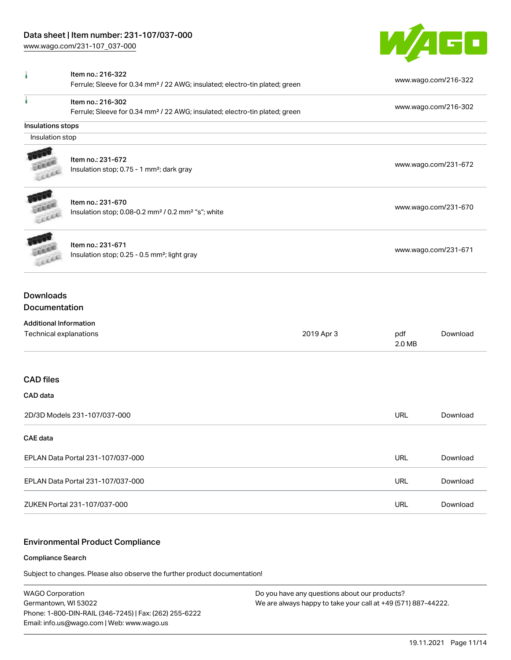

|                                                                       | Item no.: 216-322<br>Ferrule; Sleeve for 0.34 mm <sup>2</sup> / 22 AWG; insulated; electro-tin plated; green |  |               | www.wago.com/216-322 |  |
|-----------------------------------------------------------------------|--------------------------------------------------------------------------------------------------------------|--|---------------|----------------------|--|
|                                                                       | Item no.: 216-302<br>Ferrule; Sleeve for 0.34 mm <sup>2</sup> / 22 AWG; insulated; electro-tin plated; green |  |               | www.wago.com/216-302 |  |
| Insulations stops                                                     |                                                                                                              |  |               |                      |  |
| Insulation stop                                                       |                                                                                                              |  |               |                      |  |
|                                                                       | Item no.: 231-672<br>Insulation stop; 0.75 - 1 mm <sup>2</sup> ; dark gray                                   |  |               | www.wago.com/231-672 |  |
| Leen                                                                  | Item no.: 231-670<br>Insulation stop; 0.08-0.2 mm <sup>2</sup> / 0.2 mm <sup>2</sup> "s"; white              |  |               | www.wago.com/231-670 |  |
| CELL                                                                  | Item no.: 231-671<br>Insulation stop; 0.25 - 0.5 mm <sup>2</sup> ; light gray                                |  |               | www.wago.com/231-671 |  |
| <b>Downloads</b><br>Documentation                                     |                                                                                                              |  |               |                      |  |
| <b>Additional Information</b><br>Technical explanations<br>2019 Apr 3 |                                                                                                              |  | pdf<br>2.0 MB | Download             |  |
| <b>CAD files</b>                                                      |                                                                                                              |  |               |                      |  |
| CAD data                                                              |                                                                                                              |  |               |                      |  |
| 2D/3D Models 231-107/037-000                                          |                                                                                                              |  | <b>URL</b>    | Download             |  |
| <b>CAE</b> data                                                       |                                                                                                              |  |               |                      |  |
| EPLAN Data Portal 231-107/037-000                                     |                                                                                                              |  | <b>URL</b>    | Download             |  |
| EPLAN Data Portal 231-107/037-000                                     |                                                                                                              |  | <b>URL</b>    | Download             |  |
| ZUKEN Portal 231-107/037-000                                          |                                                                                                              |  | <b>URL</b>    | Download             |  |

# Environmental Product Compliance

#### Compliance Search

Subject to changes. Please also observe the further product documentation!

WAGO Corporation Germantown, WI 53022 Phone: 1-800-DIN-RAIL (346-7245) | Fax: (262) 255-6222 Email: info.us@wago.com | Web: www.wago.us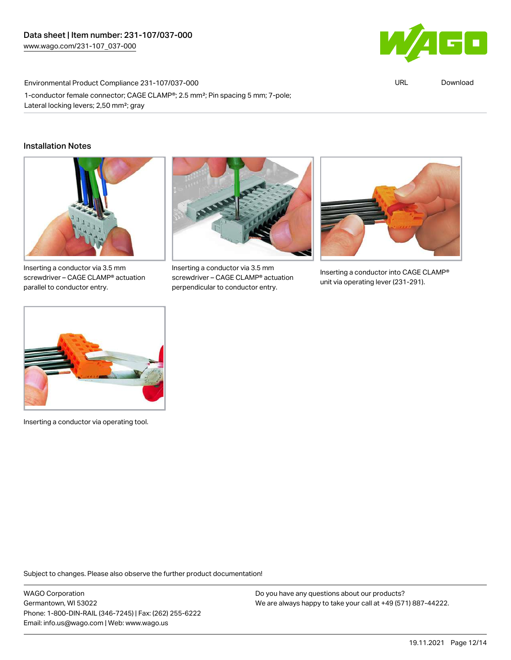

URL [Download](https://www.wago.com/global/d/ComplianceLinkMediaContainer_231-107_037-000)

Environmental Product Compliance 231-107/037-000 1-conductor female connector; CAGE CLAMP®; 2.5 mm²; Pin spacing 5 mm; 7-pole; Lateral locking levers; 2,50 mm²; gray

### Installation Notes



Inserting a conductor via 3.5 mm screwdriver – CAGE CLAMP® actuation parallel to conductor entry.



Inserting a conductor via 3.5 mm screwdriver – CAGE CLAMP® actuation perpendicular to conductor entry.



Inserting a conductor into CAGE CLAMP® unit via operating lever (231-291).



Inserting a conductor via operating tool.

Subject to changes. Please also observe the further product documentation!

WAGO Corporation Germantown, WI 53022 Phone: 1-800-DIN-RAIL (346-7245) | Fax: (262) 255-6222 Email: info.us@wago.com | Web: www.wago.us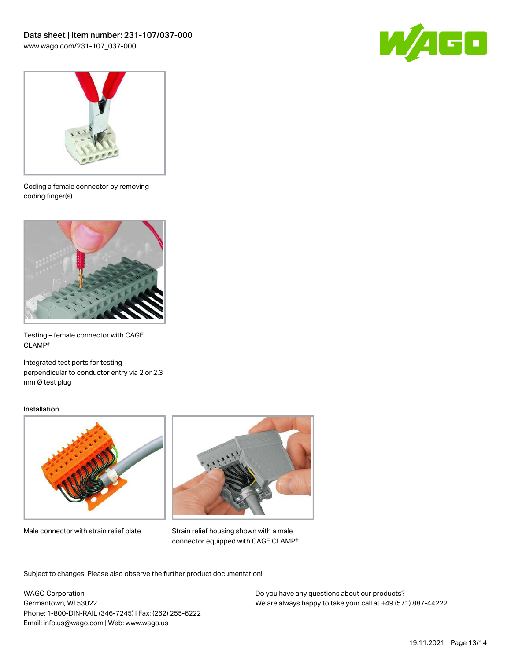



Coding a female connector by removing coding finger(s).



Testing – female connector with CAGE CLAMP®

Integrated test ports for testing perpendicular to conductor entry via 2 or 2.3 mm Ø test plug

#### Installation



Male connector with strain relief plate



Strain relief housing shown with a male connector equipped with CAGE CLAMP®

Subject to changes. Please also observe the further product documentation!

WAGO Corporation Germantown, WI 53022 Phone: 1-800-DIN-RAIL (346-7245) | Fax: (262) 255-6222 Email: info.us@wago.com | Web: www.wago.us